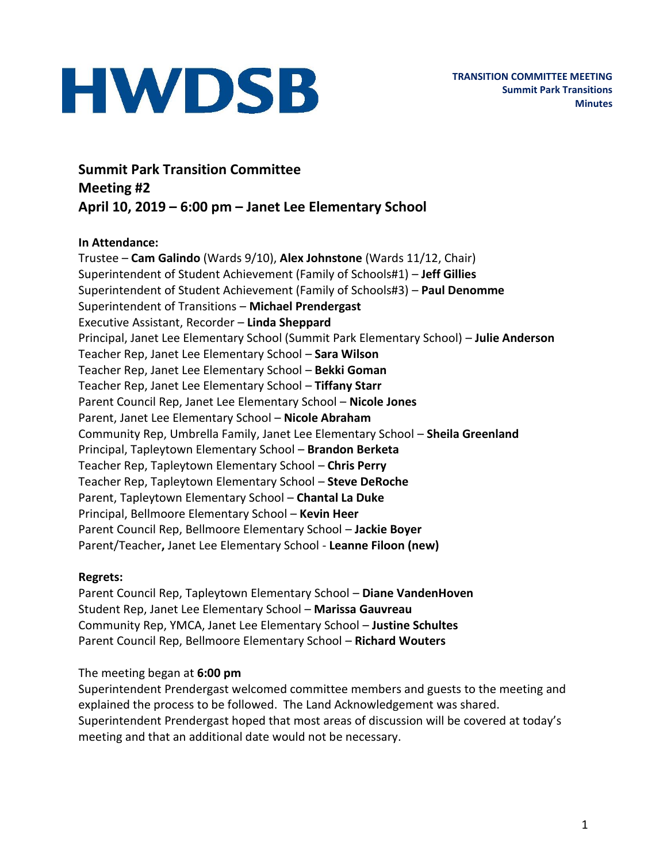# **HWDSB**

### **Summit Park Transition Committee Meeting #2 April 10, 2019 – 6:00 pm – Janet Lee Elementary School**

#### **In Attendance:**

Trustee – **Cam Galindo** (Wards 9/10), **Alex Johnstone** (Wards 11/12, Chair) Superintendent of Student Achievement (Family of Schools#1) – **Jeff Gillies** Superintendent of Student Achievement (Family of Schools#3) – **Paul Denomme** Superintendent of Transitions – **Michael Prendergast** Executive Assistant, Recorder – **Linda Sheppard** Principal, Janet Lee Elementary School (Summit Park Elementary School) – **Julie Anderson** Teacher Rep, Janet Lee Elementary School – **Sara Wilson** Teacher Rep, Janet Lee Elementary School – **Bekki Goman** Teacher Rep, Janet Lee Elementary School – **Tiffany Starr** Parent Council Rep, Janet Lee Elementary School – **Nicole Jones** Parent, Janet Lee Elementary School – **Nicole Abraham** Community Rep, Umbrella Family, Janet Lee Elementary School – **Sheila Greenland** Principal, Tapleytown Elementary School – **Brandon Berketa** Teacher Rep, Tapleytown Elementary School – **Chris Perry** Teacher Rep, Tapleytown Elementary School – **Steve DeRoche** Parent, Tapleytown Elementary School – **Chantal La Duke** Principal, Bellmoore Elementary School – **Kevin Heer** Parent Council Rep, Bellmoore Elementary School – **Jackie Boyer** Parent/Teacher**,** Janet Lee Elementary School - **Leanne Filoon (new)**

#### **Regrets:**

Parent Council Rep, Tapleytown Elementary School – **Diane VandenHoven** Student Rep, Janet Lee Elementary School – **Marissa Gauvreau** Community Rep, YMCA, Janet Lee Elementary School – **Justine Schultes** Parent Council Rep, Bellmoore Elementary School – **Richard Wouters**

#### The meeting began at **6:00 pm**

Superintendent Prendergast welcomed committee members and guests to the meeting and explained the process to be followed. The Land Acknowledgement was shared. Superintendent Prendergast hoped that most areas of discussion will be covered at today's meeting and that an additional date would not be necessary.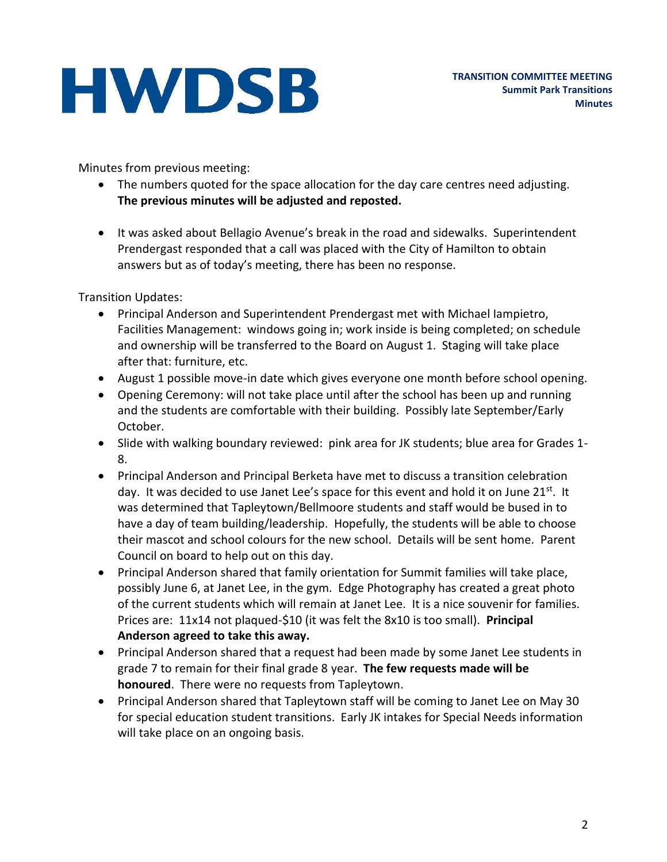### **HWDSB**

Minutes from previous meeting:

- The numbers quoted for the space allocation for the day care centres need adjusting. **The previous minutes will be adjusted and reposted.**
- It was asked about Bellagio Avenue's break in the road and sidewalks. Superintendent Prendergast responded that a call was placed with the City of Hamilton to obtain answers but as of today's meeting, there has been no response.

Transition Updates:

- Principal Anderson and Superintendent Prendergast met with Michael Iampietro, Facilities Management: windows going in; work inside is being completed; on schedule and ownership will be transferred to the Board on August 1. Staging will take place after that: furniture, etc.
- August 1 possible move-in date which gives everyone one month before school opening.
- Opening Ceremony: will not take place until after the school has been up and running and the students are comfortable with their building. Possibly late September/Early October.
- Slide with walking boundary reviewed: pink area for JK students; blue area for Grades 1- 8.
- Principal Anderson and Principal Berketa have met to discuss a transition celebration day. It was decided to use Janet Lee's space for this event and hold it on June  $21^{st}$ . It was determined that Tapleytown/Bellmoore students and staff would be bused in to have a day of team building/leadership. Hopefully, the students will be able to choose their mascot and school colours for the new school. Details will be sent home. Parent Council on board to help out on this day.
- Principal Anderson shared that family orientation for Summit families will take place, possibly June 6, at Janet Lee, in the gym. Edge Photography has created a great photo of the current students which will remain at Janet Lee. It is a nice souvenir for families. Prices are: 11x14 not plaqued-\$10 (it was felt the 8x10 is too small). **Principal Anderson agreed to take this away.**
- Principal Anderson shared that a request had been made by some Janet Lee students in grade 7 to remain for their final grade 8 year. **The few requests made will be honoured**. There were no requests from Tapleytown.
- Principal Anderson shared that Tapleytown staff will be coming to Janet Lee on May 30 for special education student transitions. Early JK intakes for Special Needs information will take place on an ongoing basis.